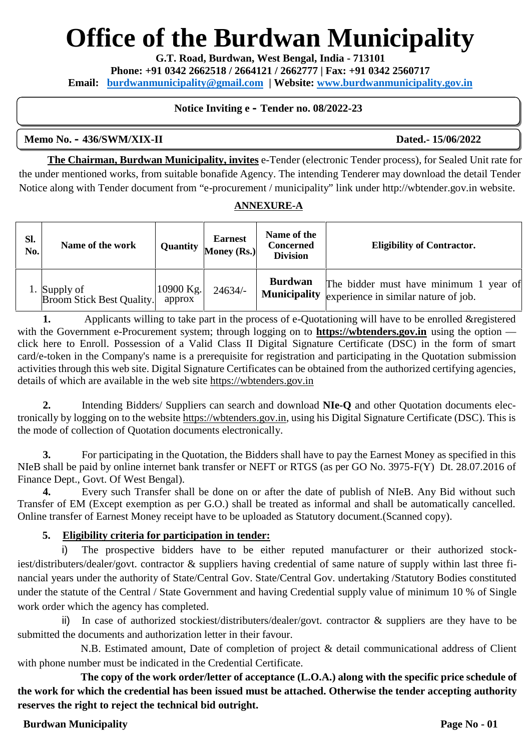# **Office of the Burdwan Municipality**

**G.T. Road, Burdwan, West Bengal, India - 713101**

**Phone: +91 0342 2662518 / 2664121 / 2662777 | Fax: +91 0342 2560717**

**Email: burdwanmunicipality@gmail.com | Website: www.burdwanmunicipality.gov.in**

### **Notice Inviting e – Tender no. 08/2022-23**

#### **Memo No. – 436/SWM/XIX-II Dated.- 15/06/2022**

**The Chairman, Burdwan Municipality, invites** e-Tender (electronic Tender process), for Sealed Unit rate for the under mentioned works, from suitable bonafide Agency. The intending Tenderer may download the detail Tender Notice along with Tender document from "e-procurement / municipality" link under http://wbtender.gov.in website.

#### **ANNEXURE-A**

| Sl.<br>No. | Name of the work                                 | Quantity            | <b>Earnest</b><br>Money (Rs.) | Name of the<br><b>Concerned</b><br><b>Division</b> | <b>Eligibility of Contractor.</b>                                                               |
|------------|--------------------------------------------------|---------------------|-------------------------------|----------------------------------------------------|-------------------------------------------------------------------------------------------------|
|            | 1. Supply of<br><b>Broom Stick Best Quality.</b> | 10900 Kg.<br>approx | $24634/-$                     | <b>Burdwan</b>                                     | The bidder must have minimum 1 year of<br>Municipality $ $ experience in similar nature of job. |

**1.** Applicants willing to take part in the process of e-Quotationing will have to be enrolled & registered with the Government e-Procurement system; through logging on to **https://wbtenders.gov.in** using the option click here to Enroll. Possession of a Valid Class II Digital Signature Certificate (DSC) in the form of smart card/e-token in the Company's name is a prerequisite for registration and participating in the Quotation submission activities through this web site. Digital Signature Certificates can be obtained from the authorized certifying agencies, details of which are available in the web site https://wbtenders.gov.in

**2.** Intending Bidders/ Suppliers can search and download **NIe-Q** and other Quotation documents electronically by logging on to the website https://wbtenders.gov.in, using his Digital Signature Certificate (DSC). This is the mode of collection of Quotation documents electronically.

**3.** For participating in the Quotation, the Bidders shall have to pay the Earnest Money as specified in this NIeB shall be paid by online internet bank transfer or NEFT or RTGS (as per GO No. 3975-F(Y) Dt. 28.07.2016 of Finance Dept., Govt. Of West Bengal).

**4.** Every such Transfer shall be done on or after the date of publish of NIeB. Any Bid without such Transfer of EM (Except exemption as per G.O.) shall be treated as informal and shall be automatically cancelled. Online transfer of Earnest Money receipt have to be uploaded as Statutory document.(Scanned copy).

### **5. Eligibility criteria for participation in tender:**

i) The prospective bidders have to be either reputed manufacturer or their authorized stockiest/distributers/dealer/govt. contractor & suppliers having credential of same nature of supply within last three financial years under the authority of State/Central Gov. State/Central Gov. undertaking /Statutory Bodies constituted under the statute of the Central / State Government and having Credential supply value of minimum 10 % of Single work order which the agency has completed.

ii) In case of authorized stockiest/distributers/dealer/govt. contractor & suppliers are they have to be submitted the documents and authorization letter in their favour.

N.B. Estimated amount, Date of completion of project & detail communicational address of Client with phone number must be indicated in the Credential Certificate.

**The copy of the work order/letter of acceptance (L.O.A.) along with the specific price schedule of the work for which the credential has been issued must be attached. Otherwise the tender accepting authority reserves the right to reject the technical bid outright.**

### **Burdwan Municipality Page No - 01**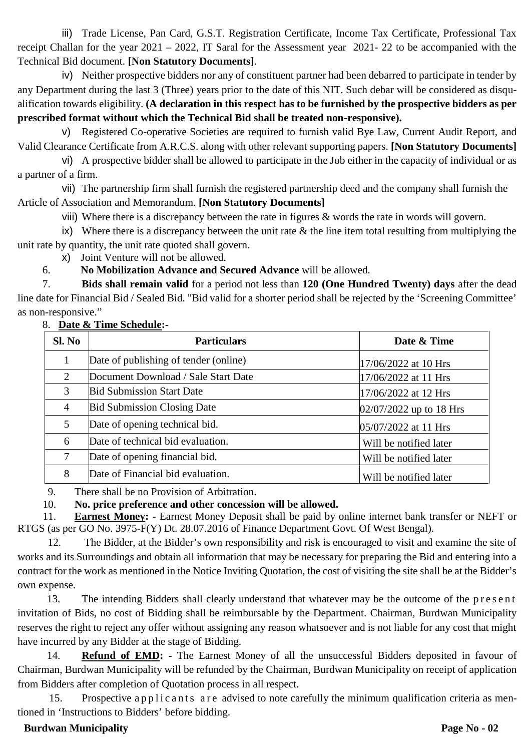iii) Trade License, Pan Card, G.S.T. Registration Certificate, Income Tax Certificate, Professional Tax receipt Challan for the year 2021 – 2022, IT Saral for the Assessment year 2021- 22 to be accompanied with the Technical Bid document. **[Non Statutory Documents]**.

iv) Neither prospective bidders nor any of constituent partner had been debarred to participate in tender by any Department during the last 3 (Three) years prior to the date of this NIT. Such debar will be considered as disqualification towards eligibility. **(A declaration in this respect has to be furnished by the prospective bidders as per prescribed format without which the Technical Bid shall be treated non-responsive).**

v) Registered Co-operative Societies are required to furnish valid Bye Law, Current Audit Report, and Valid Clearance Certificate from A.R.C.S. along with other relevant supporting papers. **[Non Statutory Documents]**

vi) A prospective bidder shall be allowed to participate in the Job either in the capacity of individual or as a partner of a firm.

vii) The partnership firm shall furnish the registered partnership deed and the company shall furnish the Article of Association and Memorandum. **[Non Statutory Documents]**

viii) Where there is a discrepancy between the rate in figures & words the rate in words will govern.

ix) Where there is a discrepancy between the unit rate  $\&$  the line item total resulting from multiplying the unit rate by quantity, the unit rate quoted shall govern.

x) Joint Venture will not be allowed.

6. **No Mobilization Advance and Secured Advance** will be allowed.

7. **Bids shall remain valid** for a period not less than **120 (One Hundred Twenty) days** after the dead line date for Financial Bid / Sealed Bid. "Bid valid for a shorter period shall be rejected by the 'Screening Committee' as non-responsive."

#### 8. **Date & Time Schedule:-**

| Sl. No | <b>Particulars</b>                    | Date & Time               |
|--------|---------------------------------------|---------------------------|
|        | Date of publishing of tender (online) | 17/06/2022 at 10 Hrs      |
| 2      | Document Download / Sale Start Date   | 17/06/2022 at 11 Hrs      |
| 3      | <b>Bid Submission Start Date</b>      | 17/06/2022 at 12 Hrs      |
| 4      | <b>Bid Submission Closing Date</b>    | $02/07/2022$ up to 18 Hrs |
| 5      | Date of opening technical bid.        | $05/07/2022$ at 11 Hrs    |
| 6      | Date of technical bid evaluation.     | Will be notified later    |
| 7      | Date of opening financial bid.        | Will be notified later    |
| 8      | Date of Financial bid evaluation.     | Will be notified later    |

9. There shall be no Provision of Arbitration.

10. **No. price preference and other concession will be allowed.**

11. **Earnest Money: -** Earnest Money Deposit shall be paid by online internet bank transfer or NEFT or RTGS (as per GO No. 3975-F(Y) Dt. 28.07.2016 of Finance Department Govt. Of West Bengal).

12. The Bidder, at the Bidder's own responsibility and risk is encouraged to visit and examine the site of works and its Surroundings and obtain all information that may be necessary for preparing the Bid and entering into a contract for the work as mentioned in the Notice Inviting Quotation, the cost of visiting the site shall be at the Bidder's own expense. 12. The Bidder, at the Bidder's own responsibility and risk is encouraged to visit and examine the site of and its Surroundings and obtain all information that may be necessary for preparing the Bid and entering into a ext

invitation of Bids, no cost of Bidding shall be reimbursable by the Department. Chairman, Burdwan Municipality reserves the right to reject any offer without assigning any reason whatsoever and is not liable for any cost that might have incurred by any Bidder at the stage of Bidding.

14. **Refund of EMD: -** The Earnest Money of all the unsuccessful Bidders deposited in favour of Chairman, Burdwan Municipality will be refunded by the Chairman, Burdwan Municipality on receipt of application from Bidders after completion of Quotation process in all respect. The United States are set of Bidding.<br>
14. **Refund of EMD:** - The Earnest Money of all the unsuccessful Bidders deposited in favour of<br>
15. Prospective a p p l i c a n t s a r e advised to note carefully the minimum qualif

tioned in 'Instructions to Bidders' before bidding.

# **Burdwan Municipality Page No - 02**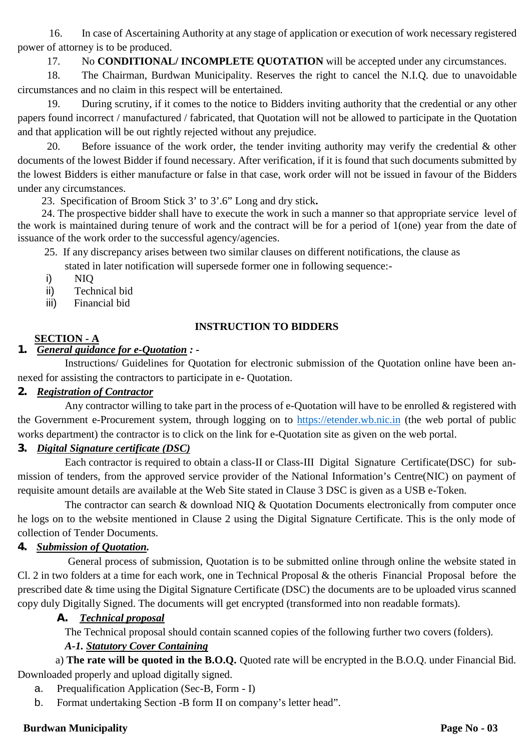16. In case of Ascertaining Authority at any stage of application or execution of work necessary registered power of attorney is to be produced.

17. No **CONDITIONAL/ INCOMPLETE QUOTATION** will be accepted under any circumstances.

18. The Chairman, Burdwan Municipality. Reserves the right to cancel the N.I.Q. due to unavoidable circumstances and no claim in this respect will be entertained.

19. During scrutiny, if it comes to the notice to Bidders inviting authority that the credential or any other papers found incorrect / manufactured / fabricated, that Quotation will not be allowed to participate in the Quotation and that application will be out rightly rejected without any prejudice.

20. Before issuance of the work order, the tender inviting authority may verify the credential & other documents of the lowest Bidder if found necessary. After verification, if it is found that such documents submitted by the lowest Bidders is either manufacture or false in that case, work order will not be issued in favour of the Bidders under any circumstances.

23. Specification of Broom Stick 3' to 3'.6" Long and dry stick**.**

24. The prospective bidder shall have to execute the work in such a manner so that appropriate service level of the work is maintained during tenure of work and the contract will be for a period of 1(one) year from the date of issuance of the work order to the successful agency/agencies.

25. If any discrepancy arises between two similar clauses on different notifications, the clause as

stated in later notification will supersede former one in following sequence:-

- i) NIQ
- ii) Technical bid
- iii) Financial bid

# **INSTRUCTION TO BIDDERS**

# **SECTION - A**

# *1. General guidance for e-Quotation : -* Instructions/ Guidelines for Quotation for electronic submission of the Quotation online have been an-

nexed for assisting the contractors to participate in e- Quotation.

# *2. Registration of Contractor*

Any contractor willing to take part in the process of e-Quotation will have to be enrolled & registered with the Government e-Procurement system, through logging on to https://etender.wb.nic.in (the web portal of public works department) the contractor is to click on the link for e-Quotation site as given on the web portal.

# *3. Digital Signature certificate (DSC)*

Each contractor is required to obtain a class-II or Class-III Digital Signature Certificate(DSC) for submission of tenders, from the approved service provider of the National Information's Centre(NIC) on payment of requisite amount details are available at the Web Site stated in Clause 3 DSC is given as a USB e-Token.

The contractor can search & download NIO & Quotation Documents electronically from computer once he logs on to the website mentioned in Clause 2 using the Digital Signature Certificate. This is the only mode of collection of Tender Documents.

# *4. Submission of Quotation.*

General process of submission, Quotation is to be submitted online through online the website stated in Cl. 2 in two folders at a time for each work, one in Technical Proposal & the otheris Financial Proposal before the prescribed date & time using the Digital Signature Certificate (DSC) the documents are to be uploaded virus scanned copy duly Digitally Signed. The documents will get encrypted (transformed into non readable formats).

# *A. Technical proposal*

The Technical proposal should contain scanned copies of the following further two covers (folders).

# *A-1. Statutory Cover Containing*

a) **The rate will be quoted in the B.O.Q.** Quoted rate will be encrypted in the B.O.Q. under Financial Bid. Downloaded properly and upload digitally signed.

- a. Prequalification Application (Sec-B, Form I)
- b. Format undertaking Section -B form II on company's letter head".

# **Burdwan Municipality Page No - 03**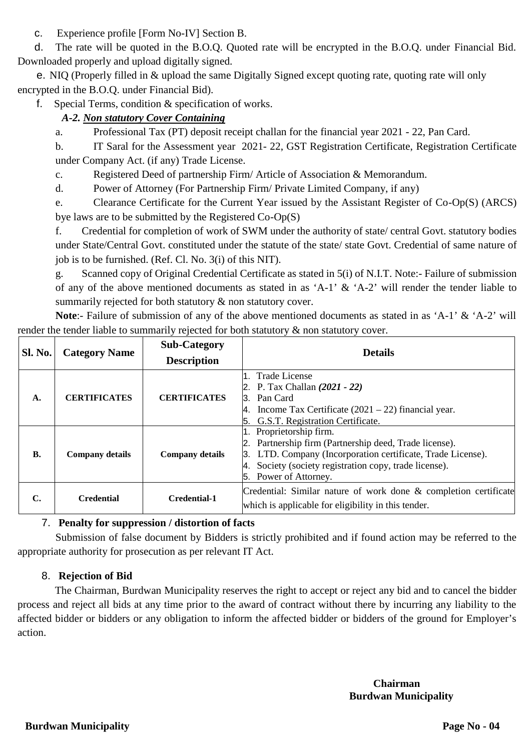c. Experience profile [Form No-IV] Section B.

d. The rate will be quoted in the B.O.Q. Quoted rate will be encrypted in the B.O.Q. under Financial Bid. Downloaded properly and upload digitally signed.

e. NIQ (Properly filled in & upload the same Digitally Signed except quoting rate, quoting rate will only encrypted in the B.O.Q. under Financial Bid).

f. Special Terms, condition & specification of works.

# *A-2. Non statutory Cover Containing*

a. Professional Tax (PT) deposit receipt challan for the financial year 2021 - 22, Pan Card.

b. IT Saral for the Assessment year 2021- 22, GST Registration Certificate, Registration Certificate under Company Act. (if any) Trade License.

c. Registered Deed of partnership Firm/ Article of Association & Memorandum.

d. Power of Attorney (For Partnership Firm/ Private Limited Company, if any)

e. Clearance Certificate for the Current Year issued by the Assistant Register of Co-Op(S) (ARCS) bye laws are to be submitted by the Registered Co-Op(S)

f. Credential for completion of work of SWM under the authority of state/ central Govt. statutory bodies under State/Central Govt. constituted under the statute of the state/ state Govt. Credential of same nature of job is to be furnished. (Ref. Cl. No. 3(i) of this NIT).

g. Scanned copy of Original Credential Certificate as stated in 5(i) of N.I.T. Note:- Failure of submission of any of the above mentioned documents as stated in as 'A-1' & 'A-2' will render the tender liable to summarily rejected for both statutory  $\&$  non statutory cover.

**Note**:- Failure of submission of any of the above mentioned documents as stated in as 'A-1' & 'A-2' will render the tender liable to summarily rejected for both statutory  $\&$  non statutory cover.

|                |                                                                                   | <b>Sub-Category</b> | <b>Details</b>                                                                                                                                                                                        |  |  |  |  |
|----------------|-----------------------------------------------------------------------------------|---------------------|-------------------------------------------------------------------------------------------------------------------------------------------------------------------------------------------------------|--|--|--|--|
| <b>Sl. No.</b> | <b>Category Name</b>                                                              | <b>Description</b>  |                                                                                                                                                                                                       |  |  |  |  |
| $\mathbf{A}$   | <b>CERTIFICATES</b>                                                               | <b>CERTIFICATES</b> | 1. Trade License<br>2. P. Tax Challan $(2021 - 22)$<br>3. Pan Card<br>4. Income Tax Certificate $(2021 – 22)$ financial year.                                                                         |  |  |  |  |
|                |                                                                                   |                     | G.S.T. Registration Certificate.                                                                                                                                                                      |  |  |  |  |
| <b>B.</b>      | 1. Proprietorship firm.<br><b>Company details</b><br><b>Company details</b><br>5. |                     | 2. Partnership firm (Partnership deed, Trade license).<br>3. LTD. Company (Incorporation certificate, Trade License).<br>4. Society (society registration copy, trade license).<br>Power of Attorney. |  |  |  |  |
| C.             | <b>Credential</b>                                                                 | <b>Credential-1</b> | Credential: Similar nature of work done & completion certificate<br>which is applicable for eligibility in this tender.                                                                               |  |  |  |  |

# 7. **Penalty for suppression / distortion of facts**

Submission of false document by Bidders is strictly prohibited and if found action may be referred to the appropriate authority for prosecution as per relevant IT Act.

# 8. **Rejection of Bid**

The Chairman, Burdwan Municipality reserves the right to accept or reject any bid and to cancel the bidder process and reject all bids at any time prior to the award of contract without there by incurring any liability to the affected bidder or bidders or any obligation to inform the affected bidder or bidders of the ground for Employer's action.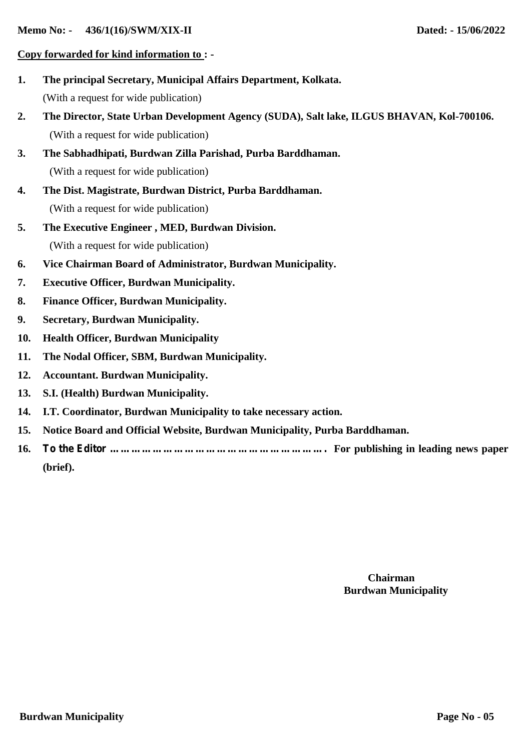#### **Copy forwarded for kind information to : -**

- **1. The principal Secretary, Municipal Affairs Department, Kolkata.** (With a request for wide publication)
- **2. The Director, State Urban Development Agency (SUDA), Salt lake, ILGUS BHAVAN, Kol-700106.** (With a request for wide publication)
- **3. The Sabhadhipati, Burdwan Zilla Parishad, Purba Barddhaman.** (With a request for wide publication)
- **4. The Dist. Magistrate, Burdwan District, Purba Barddhaman.** (With a request for wide publication)
- **5. The Executive Engineer , MED, Burdwan Division.** (With a request for wide publication)
- **6. Vice Chairman Board of Administrator, Burdwan Municipality.**
- **7. Executive Officer, Burdwan Municipality.**
- **8. Finance Officer, Burdwan Municipality.**
- **9. Secretary, Burdwan Municipality.**
- **10. Health Officer, Burdwan Municipality**
- **11. The Nodal Officer, SBM, Burdwan Municipality.**
- **12. Accountant. Burdwan Municipality.**
- **13. S.I. (Health) Burdwan Municipality.**
- **14. I.T. Coordinator, Burdwan Municipality to take necessary action.**
- **15. Notice Board and Official Website, Burdwan Municipality, Purba Barddhaman.**
- **16. To the Editor ……………………………………………………. For publishing in leading news paper (brief).**

#### **Chairman Burdwan Municipality**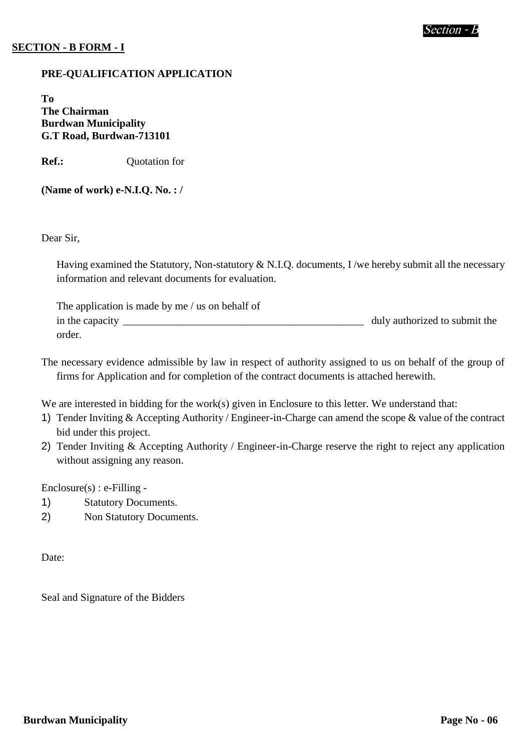# **SECTION - B FORM - I**

#### **PRE-QUALIFICATION APPLICATION**

**To The Chairman Burdwan Municipality G.T Road, Burdwan-713101**

**Ref.:** Quotation for

**(Name of work) e-N.I.Q. No. : /**

Dear Sir,

Having examined the Statutory, Non-statutory & N.I.Q. documents, I /we hereby submit all the necessary information and relevant documents for evaluation.

| The application is made by me / us on behalf of |                               |  |  |  |  |
|-------------------------------------------------|-------------------------------|--|--|--|--|
| in the capacity                                 | duly authorized to submit the |  |  |  |  |
| order.                                          |                               |  |  |  |  |

The necessary evidence admissible by law in respect of authority assigned to us on behalf of the group of firms for Application and for completion of the contract documents is attached herewith.

We are interested in bidding for the work(s) given in Enclosure to this letter. We understand that:

- 1) Tender Inviting & Accepting Authority / Engineer-in-Charge can amend the scope & value of the contract bid under this project.
- 2) Tender Inviting & Accepting Authority / Engineer-in-Charge reserve the right to reject any application without assigning any reason.

Enclosure(s) : e-Filling -

- 1) Statutory Documents.
- 2) Non Statutory Documents.

Date:

Seal and Signature of the Bidders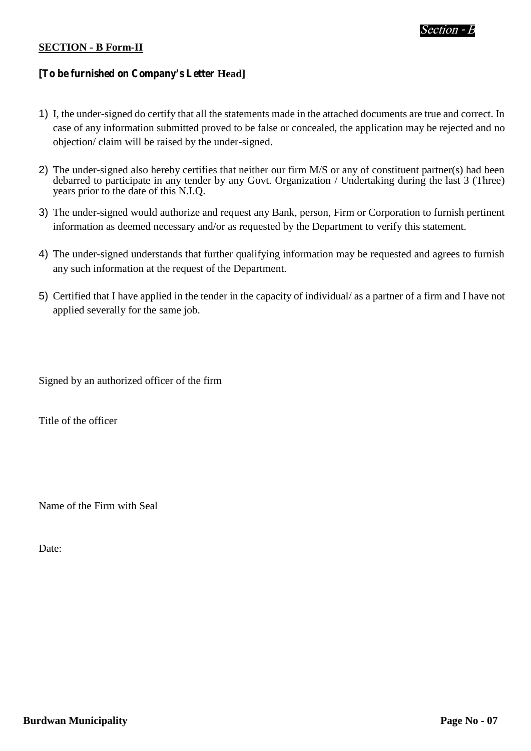#### **SECTION - B Form-II**

# **[To be furnished on Company's Letter Head]**

- 1) I, the under-signed do certify that all the statements made in the attached documents are true and correct. In case of any information submitted proved to be false or concealed, the application may be rejected and no objection/ claim will be raised by the under-signed.
- 2) The under-signed also hereby certifies that neither our firm M/S or any of constituent partner(s) had been debarred to participate in any tender by any Govt. Organization / Undertaking during the last 3 (Three) years prior to the date of this N.I.Q.
- 3) The under-signed would authorize and request any Bank, person, Firm or Corporation to furnish pertinent information as deemed necessary and/or as requested by the Department to verify this statement.
- 4) The under-signed understands that further qualifying information may be requested and agrees to furnish any such information at the request of the Department.
- 5) Certified that I have applied in the tender in the capacity of individual/ as a partner of a firm and I have not applied severally for the same job.

Signed by an authorized officer of the firm

Title of the officer

Name of the Firm with Seal

Date: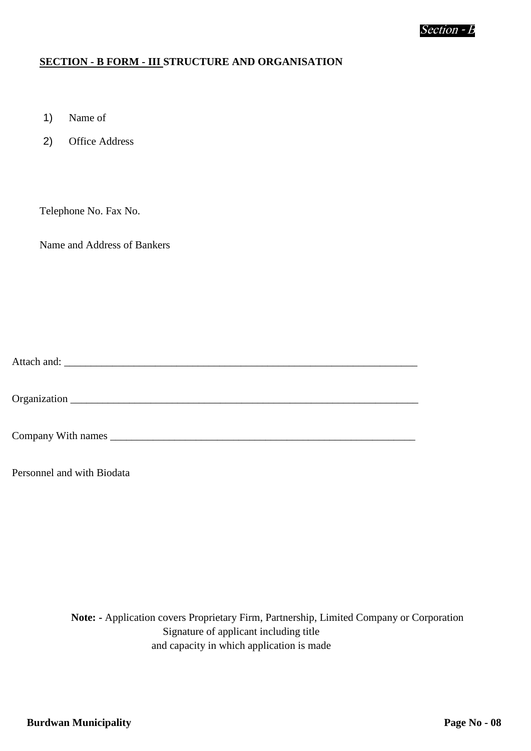#### **SECTION - B FORM - III STRUCTURE AND ORGANISATION**

- 1) Name of
- 2) Office Address

Telephone No. Fax No.

Name and Address of Bankers

Attach and: \_\_\_\_\_\_\_\_\_\_\_\_\_\_\_\_\_\_\_\_\_\_\_\_\_\_\_\_\_\_\_\_\_\_\_\_\_\_\_\_\_\_\_\_\_\_\_\_\_\_\_\_\_\_\_\_\_\_\_\_\_\_\_\_\_\_

Organization \_\_\_\_\_\_\_\_\_\_\_\_\_\_\_\_\_\_\_\_\_\_\_\_\_\_\_\_\_\_\_\_\_\_\_\_\_\_\_\_\_\_\_\_\_\_\_\_\_\_\_\_\_\_\_\_\_\_\_\_\_\_\_\_\_

Company With names

Personnel and with Biodata

**Note: -** Application covers Proprietary Firm, Partnership, Limited Company or Corporation Signature of applicant including title and capacity in which application is made